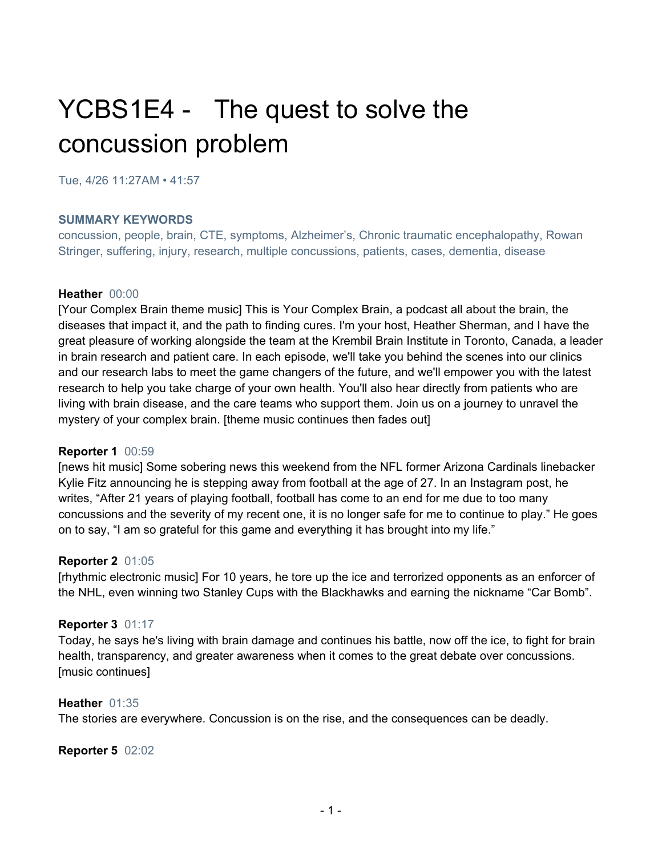# YCBS1E4 - The quest to solve the concussion problem

Tue, 4/26 11:27AM • 41:57

#### **SUMMARY KEYWORDS**

concussion, people, brain, CTE, symptoms, Alzheimer's, Chronic traumatic encephalopathy, Rowan Stringer, suffering, injury, research, multiple concussions, patients, cases, dementia, disease

#### **Heather** 00:00

[Your Complex Brain theme music] This is Your Complex Brain, a podcast all about the brain, the diseases that impact it, and the path to finding cures. I'm your host, Heather Sherman, and I have the great pleasure of working alongside the team at the Krembil Brain Institute in Toronto, Canada, a leader in brain research and patient care. In each episode, we'll take you behind the scenes into our clinics and our research labs to meet the game changers of the future, and we'll empower you with the latest research to help you take charge of your own health. You'll also hear directly from patients who are living with brain disease, and the care teams who support them. Join us on a journey to unravel the mystery of your complex brain. [theme music continues then fades out]

#### **Reporter 1** 00:59

[news hit music] Some sobering news this weekend from the NFL former Arizona Cardinals linebacker Kylie Fitz announcing he is stepping away from football at the age of 27. In an Instagram post, he writes, "After 21 years of playing football, football has come to an end for me due to too many concussions and the severity of my recent one, it is no longer safe for me to continue to play." He goes on to say, "I am so grateful for this game and everything it has brought into my life."

## **Reporter 2** 01:05

[rhythmic electronic music] For 10 years, he tore up the ice and terrorized opponents as an enforcer of the NHL, even winning two Stanley Cups with the Blackhawks and earning the nickname "Car Bomb".

## **Reporter 3** 01:17

Today, he says he's living with brain damage and continues his battle, now off the ice, to fight for brain health, transparency, and greater awareness when it comes to the great debate over concussions. [music continues]

#### **Heather** 01:35

The stories are everywhere. Concussion is on the rise, and the consequences can be deadly.

#### **Reporter 5** 02:02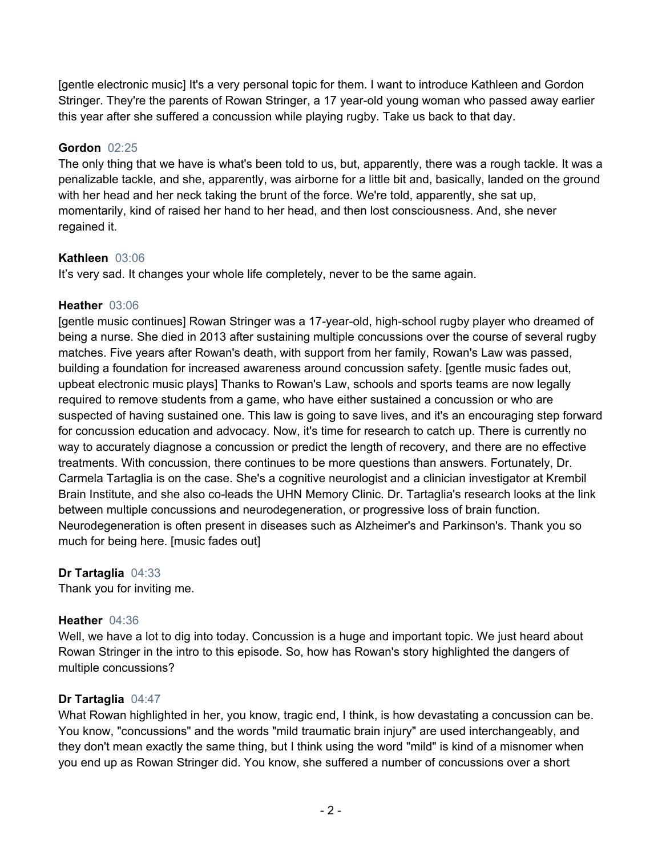[gentle electronic music] It's a very personal topic for them. I want to introduce Kathleen and Gordon Stringer. They're the parents of Rowan Stringer, a 17 year-old young woman who passed away earlier this year after she suffered a concussion while playing rugby. Take us back to that day.

# **Gordon** 02:25

The only thing that we have is what's been told to us, but, apparently, there was a rough tackle. It was a penalizable tackle, and she, apparently, was airborne for a little bit and, basically, landed on the ground with her head and her neck taking the brunt of the force. We're told, apparently, she sat up, momentarily, kind of raised her hand to her head, and then lost consciousness. And, she never regained it.

# **Kathleen** 03:06

It's very sad. It changes your whole life completely, never to be the same again.

# **Heather** 03:06

[gentle music continues] Rowan Stringer was a 17-year-old, high-school rugby player who dreamed of being a nurse. She died in 2013 after sustaining multiple concussions over the course of several rugby matches. Five years after Rowan's death, with support from her family, Rowan's Law was passed, building a foundation for increased awareness around concussion safety. [gentle music fades out, upbeat electronic music plays] Thanks to Rowan's Law, schools and sports teams are now legally required to remove students from a game, who have either sustained a concussion or who are suspected of having sustained one. This law is going to save lives, and it's an encouraging step forward for concussion education and advocacy. Now, it's time for research to catch up. There is currently no way to accurately diagnose a concussion or predict the length of recovery, and there are no effective treatments. With concussion, there continues to be more questions than answers. Fortunately, Dr. Carmela Tartaglia is on the case. She's a cognitive neurologist and a clinician investigator at Krembil Brain Institute, and she also co-leads the UHN Memory Clinic. Dr. Tartaglia's research looks at the link between multiple concussions and neurodegeneration, or progressive loss of brain function. Neurodegeneration is often present in diseases such as Alzheimer's and Parkinson's. Thank you so much for being here. [music fades out]

# **Dr Tartaglia** 04:33

Thank you for inviting me.

# **Heather** 04:36

Well, we have a lot to dig into today. Concussion is a huge and important topic. We just heard about Rowan Stringer in the intro to this episode. So, how has Rowan's story highlighted the dangers of multiple concussions?

# **Dr Tartaglia** 04:47

What Rowan highlighted in her, you know, tragic end, I think, is how devastating a concussion can be. You know, "concussions" and the words "mild traumatic brain injury" are used interchangeably, and they don't mean exactly the same thing, but I think using the word "mild" is kind of a misnomer when you end up as Rowan Stringer did. You know, she suffered a number of concussions over a short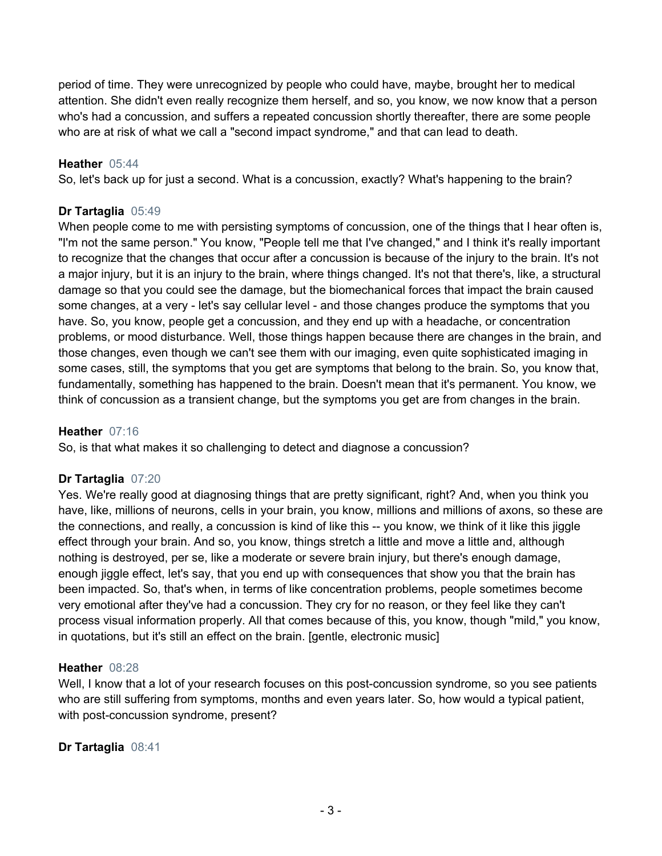period of time. They were unrecognized by people who could have, maybe, brought her to medical attention. She didn't even really recognize them herself, and so, you know, we now know that a person who's had a concussion, and suffers a repeated concussion shortly thereafter, there are some people who are at risk of what we call a "second impact syndrome," and that can lead to death.

#### **Heather** 05:44

So, let's back up for just a second. What is a concussion, exactly? What's happening to the brain?

#### **Dr Tartaglia** 05:49

When people come to me with persisting symptoms of concussion, one of the things that I hear often is, "I'm not the same person." You know, "People tell me that I've changed," and I think it's really important to recognize that the changes that occur after a concussion is because of the injury to the brain. It's not a major injury, but it is an injury to the brain, where things changed. It's not that there's, like, a structural damage so that you could see the damage, but the biomechanical forces that impact the brain caused some changes, at a very - let's say cellular level - and those changes produce the symptoms that you have. So, you know, people get a concussion, and they end up with a headache, or concentration problems, or mood disturbance. Well, those things happen because there are changes in the brain, and those changes, even though we can't see them with our imaging, even quite sophisticated imaging in some cases, still, the symptoms that you get are symptoms that belong to the brain. So, you know that, fundamentally, something has happened to the brain. Doesn't mean that it's permanent. You know, we think of concussion as a transient change, but the symptoms you get are from changes in the brain.

#### **Heather** 07:16

So, is that what makes it so challenging to detect and diagnose a concussion?

## **Dr Tartaglia** 07:20

Yes. We're really good at diagnosing things that are pretty significant, right? And, when you think you have, like, millions of neurons, cells in your brain, you know, millions and millions of axons, so these are the connections, and really, a concussion is kind of like this -- you know, we think of it like this jiggle effect through your brain. And so, you know, things stretch a little and move a little and, although nothing is destroyed, per se, like a moderate or severe brain injury, but there's enough damage, enough jiggle effect, let's say, that you end up with consequences that show you that the brain has been impacted. So, that's when, in terms of like concentration problems, people sometimes become very emotional after they've had a concussion. They cry for no reason, or they feel like they can't process visual information properly. All that comes because of this, you know, though "mild," you know, in quotations, but it's still an effect on the brain. [gentle, electronic music]

#### **Heather** 08:28

Well, I know that a lot of your research focuses on this post-concussion syndrome, so you see patients who are still suffering from symptoms, months and even years later. So, how would a typical patient, with post-concussion syndrome, present?

#### **Dr Tartaglia** 08:41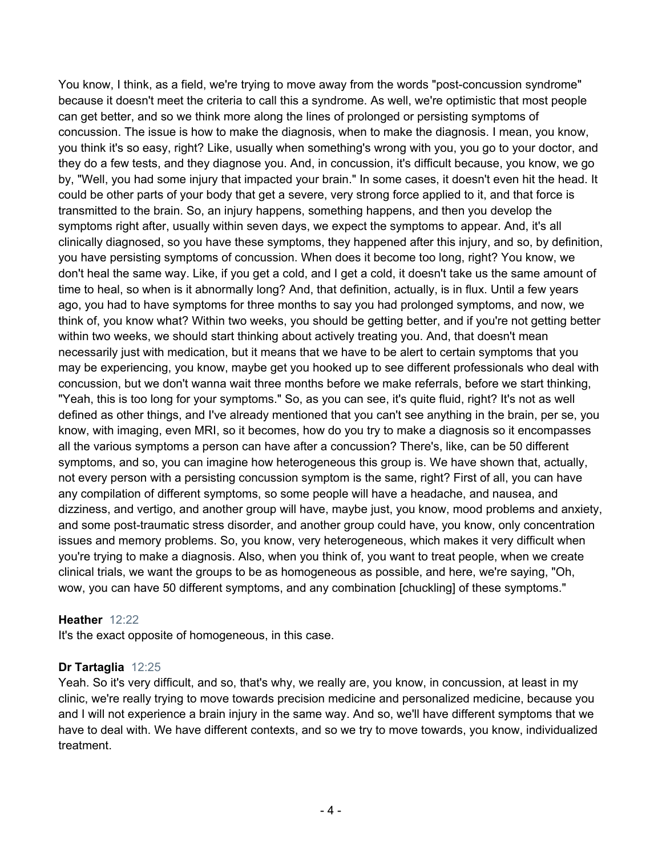You know, I think, as a field, we're trying to move away from the words "post-concussion syndrome" because it doesn't meet the criteria to call this a syndrome. As well, we're optimistic that most people can get better, and so we think more along the lines of prolonged or persisting symptoms of concussion. The issue is how to make the diagnosis, when to make the diagnosis. I mean, you know, you think it's so easy, right? Like, usually when something's wrong with you, you go to your doctor, and they do a few tests, and they diagnose you. And, in concussion, it's difficult because, you know, we go by, "Well, you had some injury that impacted your brain." In some cases, it doesn't even hit the head. It could be other parts of your body that get a severe, very strong force applied to it, and that force is transmitted to the brain. So, an injury happens, something happens, and then you develop the symptoms right after, usually within seven days, we expect the symptoms to appear. And, it's all clinically diagnosed, so you have these symptoms, they happened after this injury, and so, by definition, you have persisting symptoms of concussion. When does it become too long, right? You know, we don't heal the same way. Like, if you get a cold, and I get a cold, it doesn't take us the same amount of time to heal, so when is it abnormally long? And, that definition, actually, is in flux. Until a few years ago, you had to have symptoms for three months to say you had prolonged symptoms, and now, we think of, you know what? Within two weeks, you should be getting better, and if you're not getting better within two weeks, we should start thinking about actively treating you. And, that doesn't mean necessarily just with medication, but it means that we have to be alert to certain symptoms that you may be experiencing, you know, maybe get you hooked up to see different professionals who deal with concussion, but we don't wanna wait three months before we make referrals, before we start thinking, "Yeah, this is too long for your symptoms." So, as you can see, it's quite fluid, right? It's not as well defined as other things, and I've already mentioned that you can't see anything in the brain, per se, you know, with imaging, even MRI, so it becomes, how do you try to make a diagnosis so it encompasses all the various symptoms a person can have after a concussion? There's, like, can be 50 different symptoms, and so, you can imagine how heterogeneous this group is. We have shown that, actually, not every person with a persisting concussion symptom is the same, right? First of all, you can have any compilation of different symptoms, so some people will have a headache, and nausea, and dizziness, and vertigo, and another group will have, maybe just, you know, mood problems and anxiety, and some post-traumatic stress disorder, and another group could have, you know, only concentration issues and memory problems. So, you know, very heterogeneous, which makes it very difficult when you're trying to make a diagnosis. Also, when you think of, you want to treat people, when we create clinical trials, we want the groups to be as homogeneous as possible, and here, we're saying, "Oh, wow, you can have 50 different symptoms, and any combination [chuckling] of these symptoms."

## **Heather** 12:22

It's the exact opposite of homogeneous, in this case.

## **Dr Tartaglia** 12:25

Yeah. So it's very difficult, and so, that's why, we really are, you know, in concussion, at least in my clinic, we're really trying to move towards precision medicine and personalized medicine, because you and I will not experience a brain injury in the same way. And so, we'll have different symptoms that we have to deal with. We have different contexts, and so we try to move towards, you know, individualized treatment.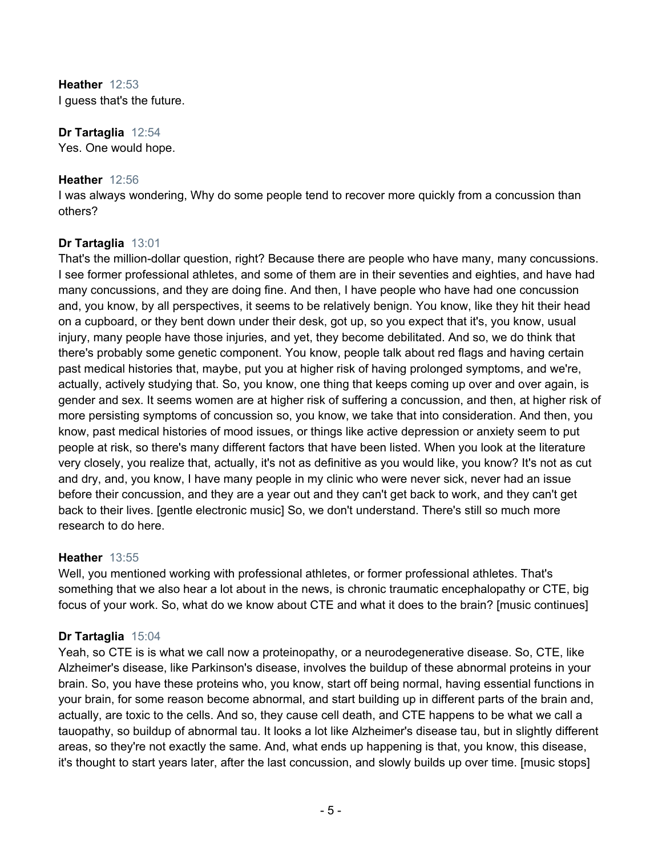**Heather** 12:53 I guess that's the future.

**Dr Tartaglia** 12:54 Yes. One would hope.

## **Heather** 12:56

I was always wondering, Why do some people tend to recover more quickly from a concussion than others?

# **Dr Tartaglia** 13:01

That's the million-dollar question, right? Because there are people who have many, many concussions. I see former professional athletes, and some of them are in their seventies and eighties, and have had many concussions, and they are doing fine. And then, I have people who have had one concussion and, you know, by all perspectives, it seems to be relatively benign. You know, like they hit their head on a cupboard, or they bent down under their desk, got up, so you expect that it's, you know, usual injury, many people have those injuries, and yet, they become debilitated. And so, we do think that there's probably some genetic component. You know, people talk about red flags and having certain past medical histories that, maybe, put you at higher risk of having prolonged symptoms, and we're, actually, actively studying that. So, you know, one thing that keeps coming up over and over again, is gender and sex. It seems women are at higher risk of suffering a concussion, and then, at higher risk of more persisting symptoms of concussion so, you know, we take that into consideration. And then, you know, past medical histories of mood issues, or things like active depression or anxiety seem to put people at risk, so there's many different factors that have been listed. When you look at the literature very closely, you realize that, actually, it's not as definitive as you would like, you know? It's not as cut and dry, and, you know, I have many people in my clinic who were never sick, never had an issue before their concussion, and they are a year out and they can't get back to work, and they can't get back to their lives. [gentle electronic music] So, we don't understand. There's still so much more research to do here.

## **Heather** 13:55

Well, you mentioned working with professional athletes, or former professional athletes. That's something that we also hear a lot about in the news, is chronic traumatic encephalopathy or CTE, big focus of your work. So, what do we know about CTE and what it does to the brain? [music continues]

## **Dr Tartaglia** 15:04

Yeah, so CTE is is what we call now a proteinopathy, or a neurodegenerative disease. So, CTE, like Alzheimer's disease, like Parkinson's disease, involves the buildup of these abnormal proteins in your brain. So, you have these proteins who, you know, start off being normal, having essential functions in your brain, for some reason become abnormal, and start building up in different parts of the brain and, actually, are toxic to the cells. And so, they cause cell death, and CTE happens to be what we call a tauopathy, so buildup of abnormal tau. It looks a lot like Alzheimer's disease tau, but in slightly different areas, so they're not exactly the same. And, what ends up happening is that, you know, this disease, it's thought to start years later, after the last concussion, and slowly builds up over time. [music stops]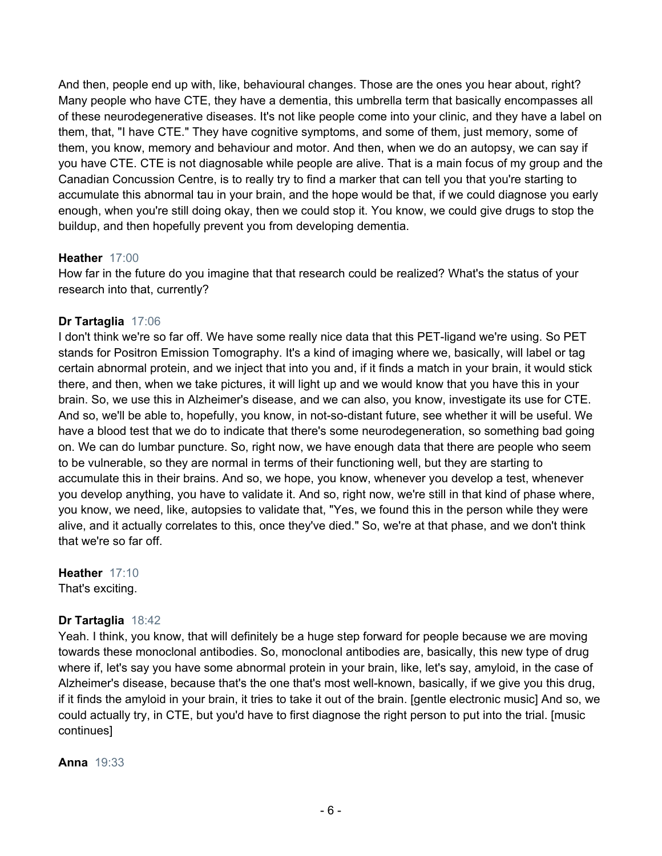And then, people end up with, like, behavioural changes. Those are the ones you hear about, right? Many people who have CTE, they have a dementia, this umbrella term that basically encompasses all of these neurodegenerative diseases. It's not like people come into your clinic, and they have a label on them, that, "I have CTE." They have cognitive symptoms, and some of them, just memory, some of them, you know, memory and behaviour and motor. And then, when we do an autopsy, we can say if you have CTE. CTE is not diagnosable while people are alive. That is a main focus of my group and the Canadian Concussion Centre, is to really try to find a marker that can tell you that you're starting to accumulate this abnormal tau in your brain, and the hope would be that, if we could diagnose you early enough, when you're still doing okay, then we could stop it. You know, we could give drugs to stop the buildup, and then hopefully prevent you from developing dementia.

# **Heather** 17:00

How far in the future do you imagine that that research could be realized? What's the status of your research into that, currently?

# **Dr Tartaglia** 17:06

I don't think we're so far off. We have some really nice data that this PET-ligand we're using. So PET stands for Positron Emission Tomography. It's a kind of imaging where we, basically, will label or tag certain abnormal protein, and we inject that into you and, if it finds a match in your brain, it would stick there, and then, when we take pictures, it will light up and we would know that you have this in your brain. So, we use this in Alzheimer's disease, and we can also, you know, investigate its use for CTE. And so, we'll be able to, hopefully, you know, in not-so-distant future, see whether it will be useful. We have a blood test that we do to indicate that there's some neurodegeneration, so something bad going on. We can do lumbar puncture. So, right now, we have enough data that there are people who seem to be vulnerable, so they are normal in terms of their functioning well, but they are starting to accumulate this in their brains. And so, we hope, you know, whenever you develop a test, whenever you develop anything, you have to validate it. And so, right now, we're still in that kind of phase where, you know, we need, like, autopsies to validate that, "Yes, we found this in the person while they were alive, and it actually correlates to this, once they've died." So, we're at that phase, and we don't think that we're so far off.

**Heather** 17:10 That's exciting.

# **Dr Tartaglia** 18:42

Yeah. I think, you know, that will definitely be a huge step forward for people because we are moving towards these monoclonal antibodies. So, monoclonal antibodies are, basically, this new type of drug where if, let's say you have some abnormal protein in your brain, like, let's say, amyloid, in the case of Alzheimer's disease, because that's the one that's most well-known, basically, if we give you this drug, if it finds the amyloid in your brain, it tries to take it out of the brain. [gentle electronic music] And so, we could actually try, in CTE, but you'd have to first diagnose the right person to put into the trial. [music continues]

**Anna** 19:33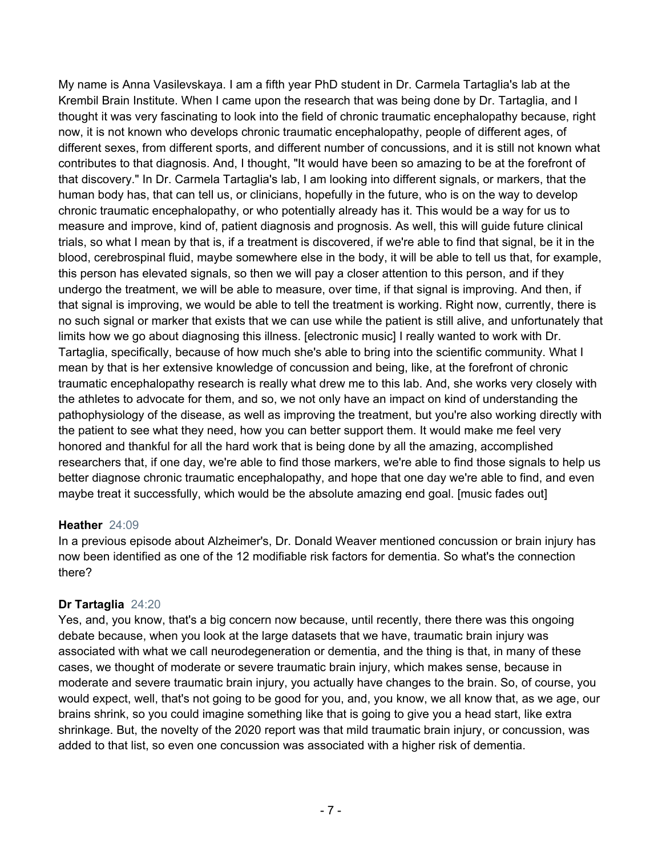My name is Anna Vasilevskaya. I am a fifth year PhD student in Dr. Carmela Tartaglia's lab at the Krembil Brain Institute. When I came upon the research that was being done by Dr. Tartaglia, and I thought it was very fascinating to look into the field of chronic traumatic encephalopathy because, right now, it is not known who develops chronic traumatic encephalopathy, people of different ages, of different sexes, from different sports, and different number of concussions, and it is still not known what contributes to that diagnosis. And, I thought, "It would have been so amazing to be at the forefront of that discovery." In Dr. Carmela Tartaglia's lab, I am looking into different signals, or markers, that the human body has, that can tell us, or clinicians, hopefully in the future, who is on the way to develop chronic traumatic encephalopathy, or who potentially already has it. This would be a way for us to measure and improve, kind of, patient diagnosis and prognosis. As well, this will guide future clinical trials, so what I mean by that is, if a treatment is discovered, if we're able to find that signal, be it in the blood, cerebrospinal fluid, maybe somewhere else in the body, it will be able to tell us that, for example, this person has elevated signals, so then we will pay a closer attention to this person, and if they undergo the treatment, we will be able to measure, over time, if that signal is improving. And then, if that signal is improving, we would be able to tell the treatment is working. Right now, currently, there is no such signal or marker that exists that we can use while the patient is still alive, and unfortunately that limits how we go about diagnosing this illness. [electronic music] I really wanted to work with Dr. Tartaglia, specifically, because of how much she's able to bring into the scientific community. What I mean by that is her extensive knowledge of concussion and being, like, at the forefront of chronic traumatic encephalopathy research is really what drew me to this lab. And, she works very closely with the athletes to advocate for them, and so, we not only have an impact on kind of understanding the pathophysiology of the disease, as well as improving the treatment, but you're also working directly with the patient to see what they need, how you can better support them. It would make me feel very honored and thankful for all the hard work that is being done by all the amazing, accomplished researchers that, if one day, we're able to find those markers, we're able to find those signals to help us better diagnose chronic traumatic encephalopathy, and hope that one day we're able to find, and even maybe treat it successfully, which would be the absolute amazing end goal. [music fades out]

## **Heather** 24:09

In a previous episode about Alzheimer's, Dr. Donald Weaver mentioned concussion or brain injury has now been identified as one of the 12 modifiable risk factors for dementia. So what's the connection there?

# **Dr Tartaglia** 24:20

Yes, and, you know, that's a big concern now because, until recently, there there was this ongoing debate because, when you look at the large datasets that we have, traumatic brain injury was associated with what we call neurodegeneration or dementia, and the thing is that, in many of these cases, we thought of moderate or severe traumatic brain injury, which makes sense, because in moderate and severe traumatic brain injury, you actually have changes to the brain. So, of course, you would expect, well, that's not going to be good for you, and, you know, we all know that, as we age, our brains shrink, so you could imagine something like that is going to give you a head start, like extra shrinkage. But, the novelty of the 2020 report was that mild traumatic brain injury, or concussion, was added to that list, so even one concussion was associated with a higher risk of dementia.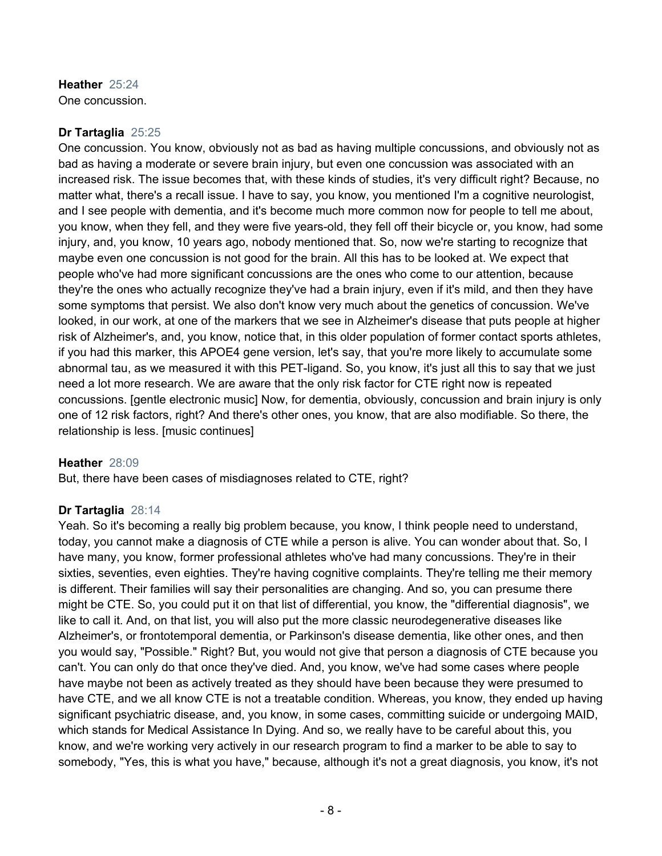**Heather** 25:24 One concussion.

#### **Dr Tartaglia** 25:25

One concussion. You know, obviously not as bad as having multiple concussions, and obviously not as bad as having a moderate or severe brain injury, but even one concussion was associated with an increased risk. The issue becomes that, with these kinds of studies, it's very difficult right? Because, no matter what, there's a recall issue. I have to say, you know, you mentioned I'm a cognitive neurologist, and I see people with dementia, and it's become much more common now for people to tell me about, you know, when they fell, and they were five years-old, they fell off their bicycle or, you know, had some injury, and, you know, 10 years ago, nobody mentioned that. So, now we're starting to recognize that maybe even one concussion is not good for the brain. All this has to be looked at. We expect that people who've had more significant concussions are the ones who come to our attention, because they're the ones who actually recognize they've had a brain injury, even if it's mild, and then they have some symptoms that persist. We also don't know very much about the genetics of concussion. We've looked, in our work, at one of the markers that we see in Alzheimer's disease that puts people at higher risk of Alzheimer's, and, you know, notice that, in this older population of former contact sports athletes, if you had this marker, this APOE4 gene version, let's say, that you're more likely to accumulate some abnormal tau, as we measured it with this PET-ligand. So, you know, it's just all this to say that we just need a lot more research. We are aware that the only risk factor for CTE right now is repeated concussions. [gentle electronic music] Now, for dementia, obviously, concussion and brain injury is only one of 12 risk factors, right? And there's other ones, you know, that are also modifiable. So there, the relationship is less. [music continues]

## **Heather** 28:09

But, there have been cases of misdiagnoses related to CTE, right?

## **Dr Tartaglia** 28:14

Yeah. So it's becoming a really big problem because, you know, I think people need to understand, today, you cannot make a diagnosis of CTE while a person is alive. You can wonder about that. So, I have many, you know, former professional athletes who've had many concussions. They're in their sixties, seventies, even eighties. They're having cognitive complaints. They're telling me their memory is different. Their families will say their personalities are changing. And so, you can presume there might be CTE. So, you could put it on that list of differential, you know, the "differential diagnosis", we like to call it. And, on that list, you will also put the more classic neurodegenerative diseases like Alzheimer's, or frontotemporal dementia, or Parkinson's disease dementia, like other ones, and then you would say, "Possible." Right? But, you would not give that person a diagnosis of CTE because you can't. You can only do that once they've died. And, you know, we've had some cases where people have maybe not been as actively treated as they should have been because they were presumed to have CTE, and we all know CTE is not a treatable condition. Whereas, you know, they ended up having significant psychiatric disease, and, you know, in some cases, committing suicide or undergoing MAID, which stands for Medical Assistance In Dying. And so, we really have to be careful about this, you know, and we're working very actively in our research program to find a marker to be able to say to somebody, "Yes, this is what you have," because, although it's not a great diagnosis, you know, it's not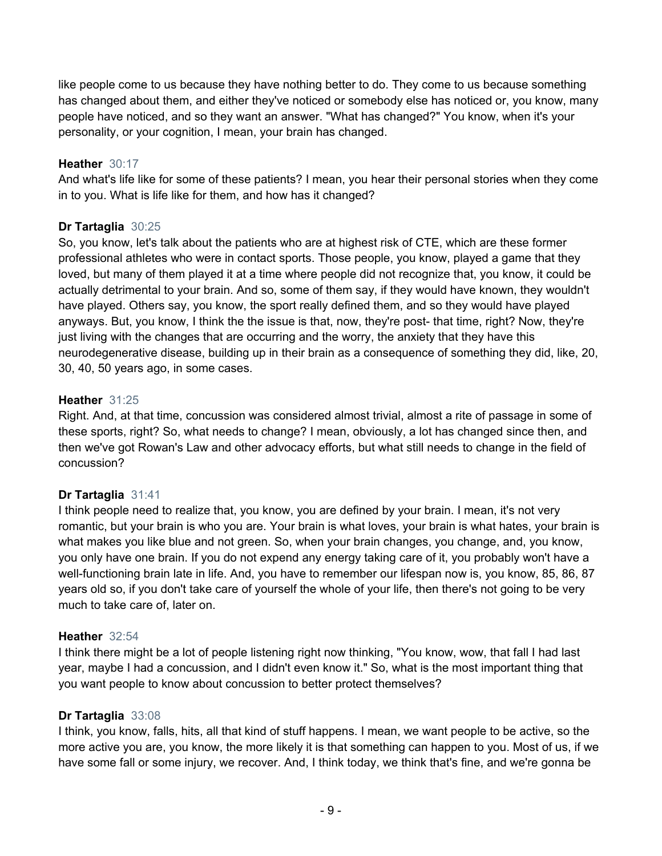like people come to us because they have nothing better to do. They come to us because something has changed about them, and either they've noticed or somebody else has noticed or, you know, many people have noticed, and so they want an answer. "What has changed?" You know, when it's your personality, or your cognition, I mean, your brain has changed.

# **Heather** 30:17

And what's life like for some of these patients? I mean, you hear their personal stories when they come in to you. What is life like for them, and how has it changed?

# **Dr Tartaglia** 30:25

So, you know, let's talk about the patients who are at highest risk of CTE, which are these former professional athletes who were in contact sports. Those people, you know, played a game that they loved, but many of them played it at a time where people did not recognize that, you know, it could be actually detrimental to your brain. And so, some of them say, if they would have known, they wouldn't have played. Others say, you know, the sport really defined them, and so they would have played anyways. But, you know, I think the the issue is that, now, they're post- that time, right? Now, they're just living with the changes that are occurring and the worry, the anxiety that they have this neurodegenerative disease, building up in their brain as a consequence of something they did, like, 20, 30, 40, 50 years ago, in some cases.

# **Heather** 31:25

Right. And, at that time, concussion was considered almost trivial, almost a rite of passage in some of these sports, right? So, what needs to change? I mean, obviously, a lot has changed since then, and then we've got Rowan's Law and other advocacy efforts, but what still needs to change in the field of concussion?

# **Dr Tartaglia** 31:41

I think people need to realize that, you know, you are defined by your brain. I mean, it's not very romantic, but your brain is who you are. Your brain is what loves, your brain is what hates, your brain is what makes you like blue and not green. So, when your brain changes, you change, and, you know, you only have one brain. If you do not expend any energy taking care of it, you probably won't have a well-functioning brain late in life. And, you have to remember our lifespan now is, you know, 85, 86, 87 years old so, if you don't take care of yourself the whole of your life, then there's not going to be very much to take care of, later on.

## **Heather** 32:54

I think there might be a lot of people listening right now thinking, "You know, wow, that fall I had last year, maybe I had a concussion, and I didn't even know it." So, what is the most important thing that you want people to know about concussion to better protect themselves?

## **Dr Tartaglia** 33:08

I think, you know, falls, hits, all that kind of stuff happens. I mean, we want people to be active, so the more active you are, you know, the more likely it is that something can happen to you. Most of us, if we have some fall or some injury, we recover. And, I think today, we think that's fine, and we're gonna be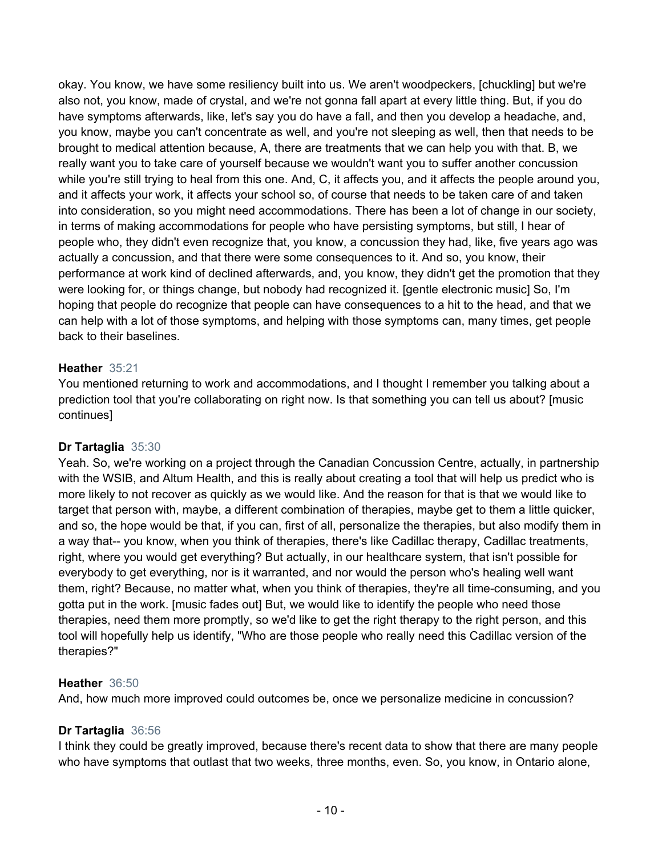okay. You know, we have some resiliency built into us. We aren't woodpeckers, [chuckling] but we're also not, you know, made of crystal, and we're not gonna fall apart at every little thing. But, if you do have symptoms afterwards, like, let's say you do have a fall, and then you develop a headache, and, you know, maybe you can't concentrate as well, and you're not sleeping as well, then that needs to be brought to medical attention because, A, there are treatments that we can help you with that. B, we really want you to take care of yourself because we wouldn't want you to suffer another concussion while you're still trying to heal from this one. And, C, it affects you, and it affects the people around you, and it affects your work, it affects your school so, of course that needs to be taken care of and taken into consideration, so you might need accommodations. There has been a lot of change in our society, in terms of making accommodations for people who have persisting symptoms, but still, I hear of people who, they didn't even recognize that, you know, a concussion they had, like, five years ago was actually a concussion, and that there were some consequences to it. And so, you know, their performance at work kind of declined afterwards, and, you know, they didn't get the promotion that they were looking for, or things change, but nobody had recognized it. [gentle electronic music] So, I'm hoping that people do recognize that people can have consequences to a hit to the head, and that we can help with a lot of those symptoms, and helping with those symptoms can, many times, get people back to their baselines.

# **Heather** 35:21

You mentioned returning to work and accommodations, and I thought I remember you talking about a prediction tool that you're collaborating on right now. Is that something you can tell us about? [music continues]

# **Dr Tartaglia** 35:30

Yeah. So, we're working on a project through the Canadian Concussion Centre, actually, in partnership with the WSIB, and Altum Health, and this is really about creating a tool that will help us predict who is more likely to not recover as quickly as we would like. And the reason for that is that we would like to target that person with, maybe, a different combination of therapies, maybe get to them a little quicker, and so, the hope would be that, if you can, first of all, personalize the therapies, but also modify them in a way that-- you know, when you think of therapies, there's like Cadillac therapy, Cadillac treatments, right, where you would get everything? But actually, in our healthcare system, that isn't possible for everybody to get everything, nor is it warranted, and nor would the person who's healing well want them, right? Because, no matter what, when you think of therapies, they're all time-consuming, and you gotta put in the work. [music fades out] But, we would like to identify the people who need those therapies, need them more promptly, so we'd like to get the right therapy to the right person, and this tool will hopefully help us identify, "Who are those people who really need this Cadillac version of the therapies?"

## **Heather** 36:50

And, how much more improved could outcomes be, once we personalize medicine in concussion?

# **Dr Tartaglia** 36:56

I think they could be greatly improved, because there's recent data to show that there are many people who have symptoms that outlast that two weeks, three months, even. So, you know, in Ontario alone,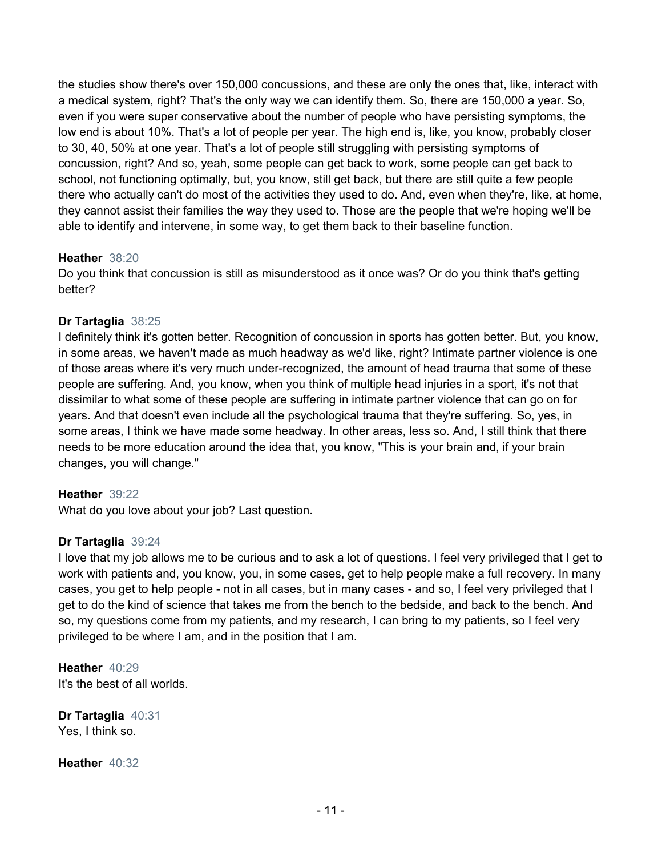the studies show there's over 150,000 concussions, and these are only the ones that, like, interact with a medical system, right? That's the only way we can identify them. So, there are 150,000 a year. So, even if you were super conservative about the number of people who have persisting symptoms, the low end is about 10%. That's a lot of people per year. The high end is, like, you know, probably closer to 30, 40, 50% at one year. That's a lot of people still struggling with persisting symptoms of concussion, right? And so, yeah, some people can get back to work, some people can get back to school, not functioning optimally, but, you know, still get back, but there are still quite a few people there who actually can't do most of the activities they used to do. And, even when they're, like, at home, they cannot assist their families the way they used to. Those are the people that we're hoping we'll be able to identify and intervene, in some way, to get them back to their baseline function.

## **Heather** 38:20

Do you think that concussion is still as misunderstood as it once was? Or do you think that's getting better?

# **Dr Tartaglia** 38:25

I definitely think it's gotten better. Recognition of concussion in sports has gotten better. But, you know, in some areas, we haven't made as much headway as we'd like, right? Intimate partner violence is one of those areas where it's very much under-recognized, the amount of head trauma that some of these people are suffering. And, you know, when you think of multiple head injuries in a sport, it's not that dissimilar to what some of these people are suffering in intimate partner violence that can go on for years. And that doesn't even include all the psychological trauma that they're suffering. So, yes, in some areas, I think we have made some headway. In other areas, less so. And, I still think that there needs to be more education around the idea that, you know, "This is your brain and, if your brain changes, you will change."

## **Heather** 39:22

What do you love about your job? Last question.

# **Dr Tartaglia** 39:24

I love that my job allows me to be curious and to ask a lot of questions. I feel very privileged that I get to work with patients and, you know, you, in some cases, get to help people make a full recovery. In many cases, you get to help people - not in all cases, but in many cases - and so, I feel very privileged that I get to do the kind of science that takes me from the bench to the bedside, and back to the bench. And so, my questions come from my patients, and my research, I can bring to my patients, so I feel very privileged to be where I am, and in the position that I am.

**Heather** 40:29 It's the best of all worlds.

**Dr Tartaglia** 40:31 Yes, I think so.

**Heather** 40:32